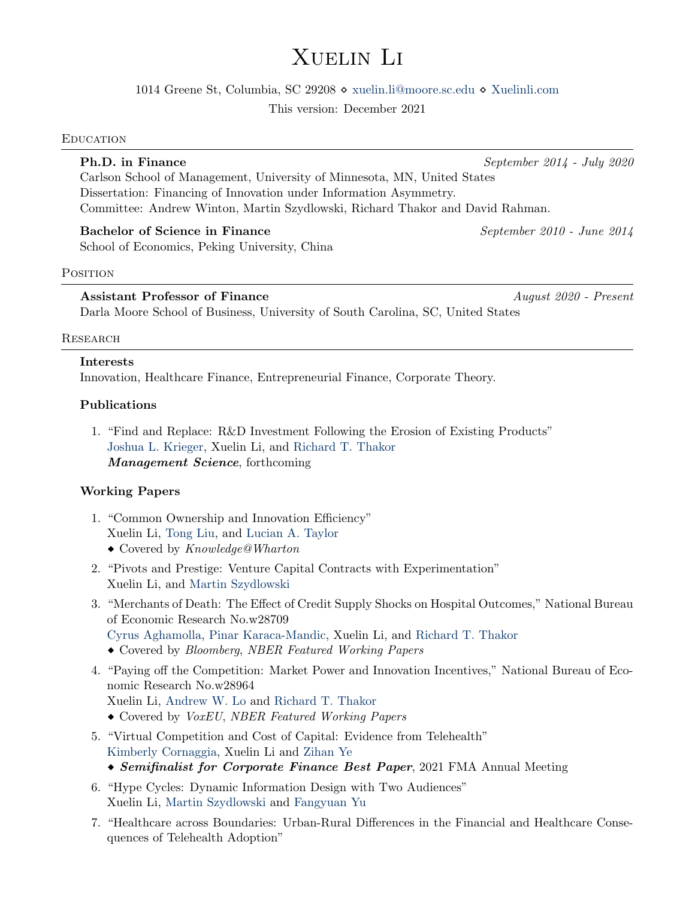# Xuelin Li

1014 Greene St, Columbia, SC 29208 [xuelin.li@moore.sc.edu](mailto:xuelin.li@moore.sc.edu) [Xuelinli.com](https://xuelinli.com/)

This version: December 2021

#### **EDUCATION**

## **Ph.D. in Finance** September 2014 - July 2020

Carlson School of Management, University of Minnesota, MN, United States Dissertation: Financing of Innovation under Information Asymmetry. Committee: Andrew Winton, Martin Szydlowski, Richard Thakor and David Rahman.

## Bachelor of Science in Finance September 2010 - June 2014

School of Economics, Peking University, China

#### POSITION

## Assistant Professor of Finance August 2020 - Present

Darla Moore School of Business, University of South Carolina, SC, United States

## **RESEARCH**

## Interests

Innovation, Healthcare Finance, Entrepreneurial Finance, Corporate Theory.

## Publications

1. "Find and Replace: R&D Investment Following the Erosion of Existing Products" [Joshua L. Krieger,](https://www.hbs.edu/faculty/Pages/profile.aspx?facId=951435) Xuelin Li, and [Richard T. Thakor](https://carlsonschool.umn.edu/faculty/richard-thakor) Management Science, forthcoming

## Working Papers

- 1. "Common Ownership and Innovation Efficiency" Xuelin Li, [Tong Liu,](https://sites.google.com/view/tongl) and [Lucian A. Taylor](http://finance-faculty.wharton.upenn.edu/luket/)
	- Covered by Knowledge@Wharton
- 2. "Pivots and Prestige: Venture Capital Contracts with Experimentation" Xuelin Li, and [Martin Szydlowski](https://carlsonschool.umn.edu/faculty/martin-szydlowski)
- 3. "Merchants of Death: The Effect of Credit Supply Shocks on Hospital Outcomes," National Bureau of Economic Research No.w28709 [Cyrus Aghamolla,](https://sites.google.com/site/cyrusaghamolla/home) [Pinar Karaca-Mandic,](https://carlsonschool.umn.edu/faculty/pinar-karaca-mandic) Xuelin Li, and [Richard T. Thakor](https://carlsonschool.umn.edu/faculty/richard-thakor)
	- Covered by Bloomberg, NBER Featured Working Papers
- 4. "Paying off the Competition: Market Power and Innovation Incentives," National Bureau of Economic Research No.w28964 Xuelin Li, [Andrew W. Lo](https://alo.mit.edu/) and [Richard T. Thakor](https://carlsonschool.umn.edu/faculty/richard-thakor)
	- Covered by VoxEU, NBER Featured Working Papers
- 5. "Virtual Competition and Cost of Capital: Evidence from Telehealth" [Kimberly Cornaggia,](https://directory.smeal.psu.edu/kjr15) Xuelin Li and [Zihan Ye](https://sites.google.com/view/zihanye/home)
	- Semifinalist for Corporate Finance Best Paper, 2021 FMA Annual Meeting
- 6. "Hype Cycles: Dynamic Information Design with Two Audiences" Xuelin Li, [Martin Szydlowski](https://carlsonschool.umn.edu/faculty/martin-szydlowski) and [Fangyuan Yu](https://carlsonschool.umn.edu/faculty/fangyuan-yu)
- 7. "Healthcare across Boundaries: Urban-Rural Differences in the Financial and Healthcare Consequences of Telehealth Adoption"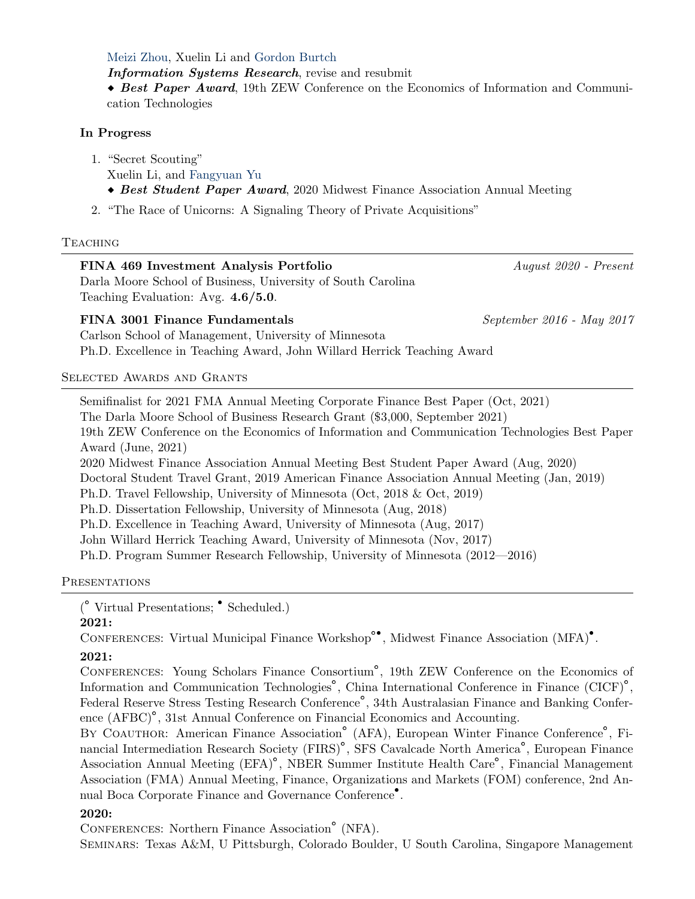[Meizi Zhou,](https://www.meizizhou.com/) Xuelin Li and [Gordon Burtch](https://www.bu.edu/questrom/profile/gordon-burtch/)

Information Systems Research, revise and resubmit

 $\bullet$  Best Paper Award, 19th ZEW Conference on the Economics of Information and Communication Technologies

## In Progress

1. "Secret Scouting" Xuelin Li, and [Fangyuan Yu](https://carlsonschool.umn.edu/faculty/fangyuan-yu) Best Student Paper Award, 2020 Midwest Finance Association Annual Meeting

2. "The Race of Unicorns: A Signaling Theory of Private Acquisitions"

## **TEACHING**

| FINA 469 Investment Analysis Portfolio                       | August 2020 - Present     |
|--------------------------------------------------------------|---------------------------|
| Darla Moore School of Business, University of South Carolina |                           |
| Teaching Evaluation: Avg. $4.6/5.0$ .                        |                           |
| FINA 3001 Finance Fundamentals                               | September 2016 - May 2017 |
| Carlson School of Management University of Minnesota         |                           |

ool of Management, University of Minnesota Ph.D. Excellence in Teaching Award, John Willard Herrick Teaching Award

Selected Awards and Grants

Semifinalist for 2021 FMA Annual Meeting Corporate Finance Best Paper (Oct, 2021) The Darla Moore School of Business Research Grant (\$3,000, September 2021) 19th ZEW Conference on the Economics of Information and Communication Technologies Best Paper Award (June, 2021) 2020 Midwest Finance Association Annual Meeting Best Student Paper Award (Aug, 2020) Doctoral Student Travel Grant, 2019 American Finance Association Annual Meeting (Jan, 2019) Ph.D. Travel Fellowship, University of Minnesota (Oct, 2018 & Oct, 2019) Ph.D. Dissertation Fellowship, University of Minnesota (Aug, 2018) Ph.D. Excellence in Teaching Award, University of Minnesota (Aug, 2017) John Willard Herrick Teaching Award, University of Minnesota (Nov, 2017) Ph.D. Program Summer Research Fellowship, University of Minnesota (2012—2016)

**PRESENTATIONS** 

(<sup>°</sup> Virtual Presentations; <sup>•</sup> Scheduled.)

#### 2021:

CONFERENCES: Virtual Municipal Finance Workshop<sup>°•</sup>, Midwest Finance Association (MFA)<sup>•</sup>.

## 2021:

Conferences: Young Scholars Finance Consortium` , 19th ZEW Conference on the Economics of Information and Communication Technologies` , China International Conference in Finance (CICF)` , Federal Reserve Stress Testing Research Conference` , 34th Australasian Finance and Banking Conference (AFBC)<sup>°</sup>, 31st Annual Conference on Financial Economics and Accounting.

Ence (ATBO), 9350 Annual Conference on Financial Economics and Accounting.<br>BY COAUTHOR: American Finance Association<sup>o</sup> (AFA), European Winter Finance Conference<sup>o</sup>, Financial Intermediation Research Society (FIRS)` , SFS Cavalcade North America` , European Finance Association Annual Meeting (EFA)` , NBER Summer Institute Health Care` , Financial Management Association (FMA) Annual Meeting, Finance, Organizations and Markets (FOM) conference, 2nd Annual Boca Corporate Finance and Governance Conference<sup>•</sup>.

## 2020:

Conferences: Northern Finance Association` (NFA).

Seminars: Texas A&M, U Pittsburgh, Colorado Boulder, U South Carolina, Singapore Management